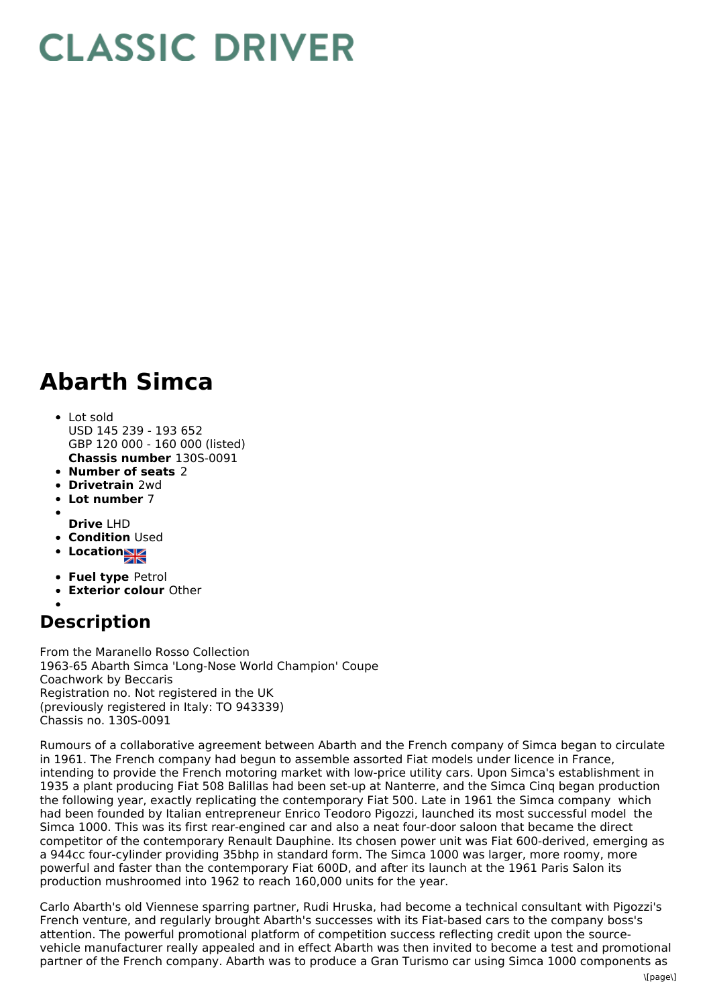## **CLASSIC DRIVER**

## **Abarth Simca**

- **Chassis number** 130S-0091 Lot sold USD 145 239 - 193 652 GBP 120 000 - 160 000 (listed)
- **Number of seats** 2
- **Drivetrain** 2wd
- **Lot number** 7
- 
- **Drive** LHD
- **Condition Used**
- **Location**
- **Fuel type** Petrol
- **Exterior colour** Other

## **Description**

From the Maranello Rosso Collection 1963-65 Abarth Simca 'Long-Nose World Champion' Coupe Coachwork by Beccaris Registration no. Not registered in the UK (previously registered in Italy: TO 943339) Chassis no. 130S-0091

Rumours of a collaborative agreement between Abarth and the French company of Simca began to circulate in 1961. The French company had begun to assemble assorted Fiat models under licence in France, intending to provide the French motoring market with low-price utility cars. Upon Simca's establishment in 1935 a plant producing Fiat 508 Balillas had been set-up at Nanterre, and the Simca Cinq began production the following year, exactly replicating the contemporary Fiat 500. Late in 1961 the Simca company which had been founded by Italian entrepreneur Enrico Teodoro Pigozzi, launched its most successful model the Simca 1000. This was its first rear-engined car and also a neat four-door saloon that became the direct competitor of the contemporary Renault Dauphine. Its chosen power unit was Fiat 600-derived, emerging as a 944cc four-cylinder providing 35bhp in standard form. The Simca 1000 was larger, more roomy, more powerful and faster than the contemporary Fiat 600D, and after its launch at the 1961 Paris Salon its production mushroomed into 1962 to reach 160,000 units for the year.

Carlo Abarth's old Viennese sparring partner, Rudi Hruska, had become a technical consultant with Pigozzi's French venture, and regularly brought Abarth's successes with its Fiat-based cars to the company boss's attention. The powerful promotional platform of competition success reflecting credit upon the sourcevehicle manufacturer really appealed and in effect Abarth was then invited to become a test and promotional partner of the French company. Abarth was to produce a Gran Turismo car using Simca 1000 components as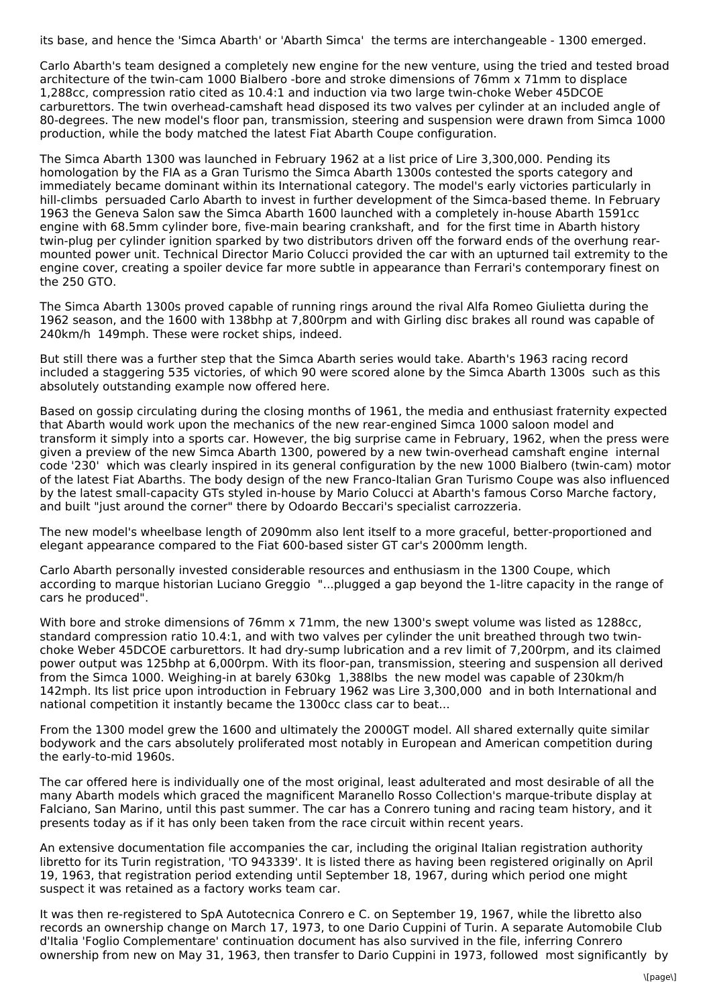its base, and hence the 'Simca Abarth' or 'Abarth Simca' the terms are interchangeable - 1300 emerged.

Carlo Abarth's team designed a completely new engine for the new venture, using the tried and tested broad architecture of the twin-cam 1000 Bialbero -bore and stroke dimensions of 76mm x 71mm to displace 1,288cc, compression ratio cited as 10.4:1 and induction via two large twin-choke Weber 45DCOE carburettors. The twin overhead-camshaft head disposed its two valves per cylinder at an included angle of 80-degrees. The new model's floor pan, transmission, steering and suspension were drawn from Simca 1000 production, while the body matched the latest Fiat Abarth Coupe configuration.

The Simca Abarth 1300 was launched in February 1962 at a list price of Lire 3,300,000. Pending its homologation by the FIA as a Gran Turismo the Simca Abarth 1300s contested the sports category and immediately became dominant within its International category. The model's early victories particularly in hill-climbs persuaded Carlo Abarth to invest in further development of the Simca-based theme. In February 1963 the Geneva Salon saw the Simca Abarth 1600 launched with a completely in-house Abarth 1591cc engine with 68.5mm cylinder bore, five-main bearing crankshaft, and for the first time in Abarth history twin-plug per cylinder ignition sparked by two distributors driven off the forward ends of the overhung rear mounted power unit. Technical Director Mario Colucci provided the car with an upturned tail extremity to the engine cover, creating a spoiler device far more subtle in appearance than Ferrari's contemporary finest on the 250 GTO.

The Simca Abarth 1300s proved capable of running rings around the rival Alfa Romeo Giulietta during the 1962 season, and the 1600 with 138bhp at 7,800rpm and with Girling disc brakes all round was capable of 240km/h 149mph. These were rocket ships, indeed.

But still there was a further step that the Simca Abarth series would take. Abarth's 1963 racing record included a staggering 535 victories, of which 90 were scored alone by the Simca Abarth 1300s such as this absolutely outstanding example now offered here.

Based on gossip circulating during the closing months of 1961, the media and enthusiast fraternity expected that Abarth would work upon the mechanics of the new rear-engined Simca 1000 saloon model and transform it simply into a sports car. However, the big surprise came in February, 1962, when the press were given a preview of the new Simca Abarth 1300, powered by a new twin-overhead camshaft engine internal code '230' which was clearly inspired in its general configuration by the new 1000 Bialbero (twin-cam) motor of the latest Fiat Abarths. The body design of the new Franco-Italian Gran Turismo Coupe was also influenced by the latest small-capacity GTs styled in-house by Mario Colucci at Abarth's famous Corso Marche factory, and built "just around the corner" there by Odoardo Beccari's specialist carrozzeria.

The new model's wheelbase length of 2090mm also lent itself to a more graceful, better-proportioned and elegant appearance compared to the Fiat 600-based sister GT car's 2000mm length.

Carlo Abarth personally invested considerable resources and enthusiasm in the 1300 Coupe, which according to marque historian Luciano Greggio "...plugged a gap beyond the 1-litre capacity in the range of cars he produced".

With bore and stroke dimensions of 76mm x 71mm, the new 1300's swept volume was listed as 1288cc, standard compression ratio 10.4:1, and with two valves per cylinder the unit breathed through two twinchoke Weber 45DCOE carburettors. It had dry-sump lubrication and a rev limit of 7,200rpm, and its claimed power output was 125bhp at 6,000rpm. With its floor-pan, transmission, steering and suspension all derived from the Simca 1000. Weighing-in at barely 630kg 1,388lbs the new model was capable of 230km/h 142mph. Its list price upon introduction in February 1962 was Lire 3,300,000 and in both International and national competition it instantly became the 1300cc class car to beat...

From the 1300 model grew the 1600 and ultimately the 2000GT model. All shared externally quite similar bodywork and the cars absolutely proliferated most notably in European and American competition during the early-to-mid 1960s.

The car offered here is individually one of the most original, least adulterated and most desirable of all the many Abarth models which graced the magnificent Maranello Rosso Collection's marque-tribute display at Falciano, San Marino, until this past summer. The car has a Conrero tuning and racing team history, and it presents today as if it has only been taken from the race circuit within recent years.

An extensive documentation file accompanies the car, including the original Italian registration authority libretto for its Turin registration, 'TO 943339'. It is listed there as having been registered originally on April 19, 1963, that registration period extending until September 18, 1967, during which period one might suspect it was retained as a factory works team car.

It was then re-registered to SpA Autotecnica Conrero e C. on September 19, 1967, while the libretto also records an ownership change on March 17, 1973, to one Dario Cuppini of Turin. A separate Automobile Club d'Italia 'Foglio Complementare' continuation document has also survived in the file, inferring Conrero ownership from new on May 31, 1963, then transfer to Dario Cuppini in 1973, followed most significantly by